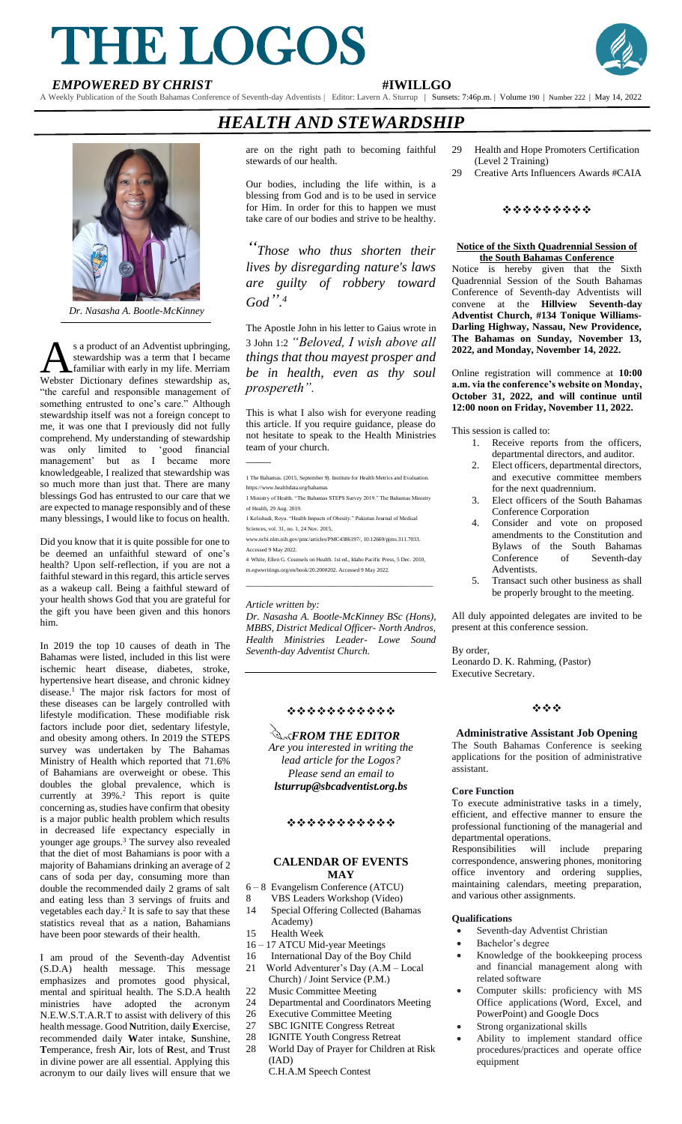# THE LOGOS **EMPOWERED BY CHRIST**<br> **EMPOWERED BY CHRIST**<br> **EMPOWERED BY CHRIST**<br> **EMPOWERED BY CHRIST**



A Weekly Publication of the South Bahamas Conference of Seventh-day Adventists | Editor: Lavern A. Sturrup | Sunsets: 7:46p.m. | Volume 190 | Number 222 | May 14, 2022

# *HEALTH AND STEWARDSHIP*



*Dr. Nasasha A. Bootle-McKinney*

s a product of an Adventist upbringing, stewardship was a term that I became familiar with early in my life. Merriam S a product of an Adventist upbringing,<br>stewardship was a term that I became<br>Webster Dictionary defines stewardship as, "the careful and responsible management of something entrusted to one's care." Although stewardship itself was not a foreign concept to me, it was one that I previously did not fully comprehend. My understanding of stewardship was only limited to 'good financial management' but as I became more knowledgeable, I realized that stewardship was so much more than just that. There are many blessings God has entrusted to our care that we are expected to manage responsibly and of these many blessings, I would like to focus on health.

Did you know that it is quite possible for one to be deemed an unfaithful steward of one's health? Upon self-reflection, if you are not a faithful steward in this regard, this article serves as a wakeup call. Being a faithful steward of your health shows God that you are grateful for the gift you have been given and this honors him.

In 2019 the top 10 causes of death in The Bahamas were listed, included in this list were ischemic heart disease, diabetes, stroke, hypertensive heart disease, and chronic kidney disease.<sup>1</sup> The major risk factors for most of these diseases can be largely controlled with lifestyle modification. These modifiable risk factors include poor diet, sedentary lifestyle, and obesity among others. In 2019 the STEPS survey was undertaken by The Bahamas Ministry of Health which reported that 71.6% of Bahamians are overweight or obese. This doubles the global prevalence, which is currently at  $39\%$ .<sup>2</sup> This report is quite concerning as, studies have confirm that obesity is a major public health problem which results in decreased life expectancy especially in younger age groups.<sup>3</sup> The survey also revealed that the diet of most Bahamians is poor with a majority of Bahamians drinking an average of 2 cans of soda per day, consuming more than double the recommended daily 2 grams of salt and eating less than 3 servings of fruits and vegetables each day.<sup>2</sup> It is safe to say that these statistics reveal that as a nation, Bahamians have been poor stewards of their health.

I am proud of the Seventh-day Adventist (S.D.A) health message. This message emphasizes and promotes good physical, mental and spiritual health. The S.D.A health ministries have adopted the acronym N.E.W.S.T.A.R.T to assist with delivery of this health message. Good **N**utrition, daily **E**xercise, recommended daily **W**ater intake, **S**unshine, **T**emperance, fresh **A**ir, lots of **R**est, and **T**rust in divine power are all essential. Applying this acronym to our daily lives will ensure that we

are on the right path to becoming faithful stewards of our health.

Our bodies, including the life within, is a blessing from God and is to be used in service for Him. In order for this to happen we must take care of our bodies and strive to be healthy.

*"Those who thus shorten their lives by disregarding nature's laws are guilty of robbery toward God". 4*

The Apostle John in his letter to Gaius wrote in 3 John 1:2 *"Beloved, I wish above all things that thou mayest prosper and be in health, even as thy soul prospereth".*

This is what I also wish for everyone reading this article. If you require guidance, please do not hesitate to speak to the Health Ministries team of your church.  $\overline{\phantom{a}}$ 

- 1 The Bahamas. (2015, September 9). Institute for Health Metrics and Evaluation. https://www.healthdata.org/bahamas
- 1 Ministry of Health. "The Bahamas STEPS Survey 2019." The Bahamas Ministry of Health, 29 Aug. 2019.
- 1 Kelishadi, Roya. "Health Impacts of Obesity." Pakistan Journal of Medical ces, vol. 31, no. 1, 24 Nov. 2015,
- www.ncbi.nlm.nih.gov/pmc/articles/PMC4386197/, 10.12669/pjms.311.7033. Accessed 9 May 2022.
- 4 White, Ellen G. Counsels on Health. 1st ed., Idaho Pacific Press, 5 Dec. 2010, m.egwwritings.org/en/book/20.200#202. Accessed 9 May 2022. *\_\_\_\_\_\_\_\_\_\_\_\_\_\_\_\_\_\_\_\_\_\_\_\_\_\_\_\_\_\_\_\_\_\_\_\_\_\_\_\_\_\_*

#### *Article written by:*

*Dr. Nasasha A. Bootle-McKinney BSc (Hons), MBBS, District Medical Officer- North Andros, Health Ministries Leader- Lowe Sound Seventh-day Adventist Church.*

### ❖❖❖❖❖❖❖❖❖❖❖

*Are you interested in writing the lead article for the Logos? <u>A<sub>K</sub>FROM THE EDITOR</u>* 

*Please send an email to lsturrup@sbcadventist.org.bs*

#### ❖❖❖❖❖❖❖❖❖❖❖

#### **CALENDAR OF EVENTS MAY**

- 6 8 Evangelism Conference (ATCU)
- 8 VBS Leaders Workshop (Video) 14 Special Offering Collected (Bahamas
- Academy)<br>15 Health We
- Health Week
- 16 17 ATCU Mid-year Meetings 16 International Day of the Boy Child
- 21 World Adventurer's Day (A.M Local Church) / Joint Service (P.M.)
- 22 Music Committee Meeting
- 24 Departmental and Coordinators Meeting
- 26 Executive Committee Meeting
- 27 SBC IGNITE Congress Retreat
- 28 IGNITE Youth Congress Retreat
- 28 World Day of Prayer for Children at Risk (IAD)
	- C.H.A.M Speech Contest
- 29 Health and Hope Promoters Certification (Level 2 Training)<br>29 Creative Arts Influ
- Creative Arts Influencers Awards #CAIA

#### ❖❖❖❖❖❖❖❖❖

#### **Notice of the Sixth Quadrennial Session of the South Bahamas Conference**

Notice is hereby given that the Sixth Quadrennial Session of the South Bahamas Conference of Seventh-day Adventists will convene at the **Hillview Seventh-day Adventist Church, #134 Tonique Williams-Darling Highway, Nassau, New Providence, The Bahamas on Sunday, November 13, 2022, and Monday, November 14, 2022.**

Online registration will commence at **10:00 a.m. via the conference's website on Monday, October 31, 2022, and will continue until 12:00 noon on Friday, November 11, 2022.**

This session is called to:

- 1. Receive reports from the officers, departmental directors, and auditor.
- 2. Elect officers, departmental directors, and executive committee members for the next quadrennium.
- 3. Elect officers of the South Bahamas Conference Corporation
- 4. Consider and vote on proposed amendments to the Constitution and Bylaws of the South Bahamas Conference of Seventh-day Adventists.
- Transact such other business as shall be properly brought to the meeting.

All duly appointed delegates are invited to be present at this conference session.

By order,

Leonardo D. K. Rahming, (Pastor) Executive Secretary.

#### ❖❖❖

#### **Administrative Assistant Job Opening**

The South Bahamas Conference is seeking applications for the position of administrative assistant.

#### **Core Function**

To execute administrative tasks in a timely, efficient, and effective manner to ensure the professional functioning of the managerial and departmental operations.

Responsibilities will include preparing correspondence, answering phones, monitoring office inventory and ordering supplies, maintaining calendars, meeting preparation, and various other assignments.

#### **Qualifications**

- Seventh-day Adventist Christian
- Bachelor's degree
- Knowledge of the bookkeeping process and financial management along with related software
- Computer skills: proficiency with MS Office applications (Word, Excel, and PowerPoint) and Google Docs
- Strong organizational skills
- Ability to implement standard office procedures/practices and operate office equipment